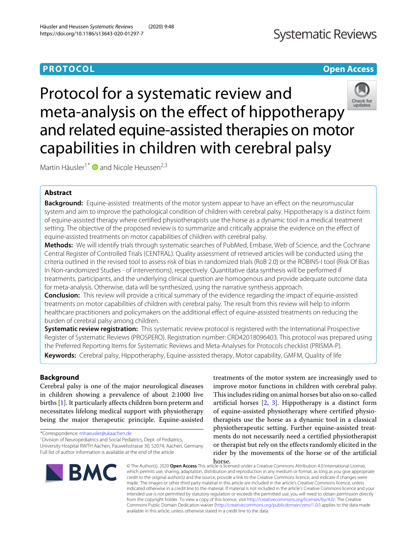# **PROTOCOL Open Access**

# **Systematic Reviews**

Check for<br>updates

Protocol for a systematic review and meta-analysis on the effect of hippotherapy and related equine-assisted therapies on motor capabilities in children with cerebral palsy

Martin Häusler<sup>1\*</sup>  $\bullet$  and Nicole Heussen<sup>2,3</sup>

# **Abstract**

**Background:** Equine-assisted treatments of the motor system appear to have an effect on the neuromuscular system and aim to improve the pathological condition of children with cerebral palsy. Hippotherapy is a distinct form of equine-assisted therapy where certified physiotherapists use the horse as a dynamic tool in a medical treatment setting. The objective of the proposed review is to summarize and critically appraise the evidence on the effect of equine-assisted treatments on motor capabilities of children with cerebral palsy.

**Methods:** We will identify trials through systematic searches of PubMed, Embase, Web of Science, and the Cochrane Central Register of Controlled Trials (CENTRAL). Quality assessment of retrieved articles will be conducted using the criteria outlined in the revised tool to assess risk of bias in randomized trials (RoB 2.0) or the ROBINS-I tool (Risk Of Bias In Non-randomized Studies - of interventions), respectively. Quantitative data synthesis will be performed if treatments, participants, and the underlying clinical question are homogenous and provide adequate outcome data for meta-analysis. Otherwise, data will be synthesized, using the narrative synthesis approach.

**Conclusion:** This review will provide a critical summary of the evidence regarding the impact of equine-assisted treatments on motor capabilities of children with cerebral palsy. The result from this review will help to inform healthcare practitioners and policymakers on the additional effect of equine-assisted treatments on reducing the burden of cerebral palsy among children.

**Systematic review registration:** This systematic review protocol is registered with the International Prospective Register of Systematic Reviews (PROSPERO). Registration number: CRD42018096403. This protocol was prepared using the Preferred Reporting Items for Systematic Reviews and Meta-Analyses for Protocols checklist (PRISMA-P).

**Keywords:** Cerebral palsy, Hippotheraphy, Equine-assisted therapy, Motor capability, GMFM, Quality of life

# **Background**

Cerebral palsy is one of the major neurological diseases in children showing a prevalence of about 2:1000 live births [\[1\]](#page-4-0). It particularly affects children born preterm and necessitates lifelong medical support with physiotherapy being the major therapeutic principle. Equine-assisted

\*Correspondence: [mhaeusler@ukaachen.de](mailto: mhaeusler@ukaachen.de)

<sup>1</sup> Division of Neuropediatrics and Social Pediatrics, Dept. of Pediatrics,

University Hospital RWTH Aachen, Pauwelsstrasse 30, 52074, Aachen, Germany Full list of author information is available at the end of the article



treatments of the motor system are increasingly used to improve motor functions in children with cerebral palsy. This includes riding on animal horses but also on so-called artificial horses [\[2,](#page-4-1) [3\]](#page-4-2). Hippotherapy is a distinct form of equine-assisted physiotherapy where certified physiotherapists use the horse as a dynamic tool in a classical physiotherapeutic setting. Further equine-assisted treatments do not necessarily need a certified physiotherapist or therapist but rely on the effects randomly elicited in the rider by the movements of the horse or of the artificial

horse. © The Author(s). 2020 **Open Access** This article is licensed under a Creative Commons Attribution 4.0 International License, which permits use, sharing, adaptation, distribution and reproduction in any medium or format, as long as you give appropriate credit to the original author(s) and the source, provide a link to the Creative Commons licence, and indicate if changes were made. The images or other third party material in this article are included in the article's Creative Commons licence, unless indicated otherwise in a credit line to the material. If material is not included in the article's Creative Commons licence and your intended use is not permitted by statutory regulation or exceeds the permitted use, you will need to obtain permission directly from the copyright holder. To view a copy of this licence, visit [http://creativecommons.org/licenses/by/4.0/.](http://creativecommons.org/licenses/by/4.0/) The Creative Commons Public Domain Dedication waiver [\(http://creativecommons.org/publicdomain/zero/1.0/\)](http://creativecommons.org/publicdomain/zero/1.0/) applies to the data made available in this article, unless otherwise stated in a credit line to the data.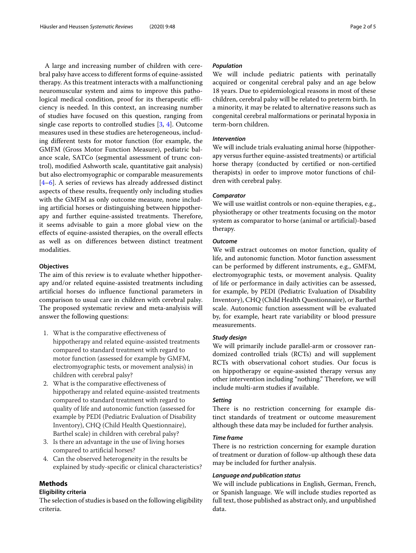A large and increasing number of children with cerebral palsy have access to different forms of equine-assisted therapy. As this treatment interacts with a malfunctioning neuromuscular system and aims to improve this pathological medical condition, proof for its therapeutic efficiency is needed. In this context, an increasing number of studies have focused on this question, ranging from single case reports to controlled studies [\[3,](#page-4-2) [4\]](#page-4-3). Outcome measures used in these studies are heterogeneous, including different tests for motor function (for example, the GMFM (Gross Motor Function Measure), pediatric balance scale, SATCo (segmental assessment of trunc control), modified Ashworth scale, quantitative gait analysis) but also electromyographic or comparable measurements [\[4](#page-4-3)[–6\]](#page-4-4). A series of reviews has already addressed distinct aspects of these results, frequently only including studies with the GMFM as only outcome measure, none including artificial horses or distinguishing between hippotherapy and further equine-assisted treatments. Therefore, it seems advisable to gain a more global view on the effects of equine-assisted therapies, on the overall effects as well as on differences between distinct treatment modalities.

# **Objectives**

The aim of this review is to evaluate whether hippotherapy and/or related equine-assisted treatments including artificial horses do influence functional parameters in comparison to usual care in children with cerebral palsy. The proposed systematic review and meta-analyisis will answer the following questions:

- 1. What is the comparative effectiveness of hippotherapy and related equine-assisted treatments compared to standard treatment with regard to motor function (assessed for example by GMFM, electromyographic tests, or movement analysis) in children with cerebral palsy?
- 2. What is the comparative effectiveness of hippotherapy and related equine-assisted treatments compared to standard treatment with regard to quality of life and autonomic function (assessed for example by PEDI (Pediatric Evaluation of Disability Inventory), CHQ (Child Health Questionnaire), Barthel scale) in children with cerebral palsy?
- 3. Is there an advantage in the use of living horses compared to artificial horses?
- 4. Can the observed heterogeneity in the results be explained by study-specific or clinical characteristics?

# **Methods**

# **Eligibility criteria**

The selection of studies is based on the following eligibility criteria.

## *Population*

We will include pediatric patients with perinatally acquired or congenital cerebral palsy and an age below 18 years. Due to epidemiological reasons in most of these children, cerebral palsy will be related to preterm birth. In a minority, it may be related to alternative reasons such as congenital cerebral malformations or perinatal hypoxia in term-born children.

# *Intervention*

We will include trials evaluating animal horse (hippotherapy versus further equine-assisted treatments) or artificial horse therapy (conducted by certified or non-certified therapists) in order to improve motor functions of children with cerebral palsy.

## *Comparator*

We will use waitlist controls or non-equine therapies, e.g., physiotherapy or other treatments focusing on the motor system as comparator to horse (animal or artificial)-based therapy.

# *Outcome*

We will extract outcomes on motor function, quality of life, and autonomic function. Motor function assessment can be performed by different instruments, e.g., GMFM, electromyographic tests, or movement analysis. Quality of life or performance in daily activities can be assessed, for example, by PEDI (Pediatric Evaluation of Disability Inventory), CHQ (Child Health Questionnaire), or Barthel scale. Autonomic function assessment will be evaluated by, for example, heart rate variability or blood pressure measurements.

#### *Study design*

We will primarily include parallel-arm or crossover randomized controlled trials (RCTs) and will supplement RCTs with observational cohort studies. Our focus is on hippotherapy or equine-assisted therapy versus any other intervention including "nothing." Therefore, we will include multi-arm studies if available.

# *Setting*

There is no restriction concerning for example distinct standards of treatment or outcome measurement although these data may be included for further analysis.

# *Time frame*

There is no restriction concerning for example duration of treatment or duration of follow-up although these data may be included for further analysis.

## *Language and publication status*

We will include publications in English, German, French, or Spanish language. We will include studies reported as full text, those published as abstract only, and unpublished data.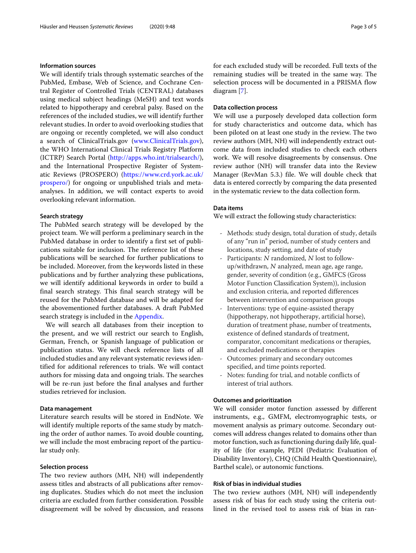#### **Information sources**

We will identify trials through systematic searches of the PubMed, Embase, Web of Science, and Cochrane Central Register of Controlled Trials (CENTRAL) databases using medical subject headings (MeSH) and text words related to hippotherapy and cerebral palsy. Based on the references of the included studies, we will identify further relevant studies. In order to avoid overlooking studies that are ongoing or recently completed, we will also conduct a search of ClinicalTrials.gov [\(www.ClinicalTrials.gov\)](www.ClinicalTrials.gov), the WHO International Clinical Trials Registry Platform (ICTRP) Search Portal [\(http://apps.who.int/trialsearch/\)](http://apps.who.int/trialsearch/), and the International Prospective Register of Systematic Reviews (PROSPERO) [\(https://www.crd.york.ac.uk/](https://www.crd.york.ac.uk/ prospero/) [prospero/\)](https://www.crd.york.ac.uk/ prospero/) for ongoing or unpublished trials and metaanalyses. In addition, we will contact experts to avoid overlooking relevant information.

# **Search strategy**

The PubMed search strategy will be developed by the project team. We will perform a preliminary search in the PubMed database in order to identify a first set of publications suitable for inclusion. The reference list of these publications will be searched for further publications to be included. Moreover, from the keywords listed in these publications and by further analyzing these publications, we will identify additional keywords in order to build a final search strategy. This final search strategy will be reused for the PubMed database and will be adapted for the abovementioned further databases. A draft PubMed search strategy is included in the [Appendix.](#page-4-5)

We will search all databases from their inception to the present, and we will restrict our search to English, German, French, or Spanish language of publication or publication status. We will check reference lists of all included studies and any relevant systematic reviews identified for additional references to trials. We will contact authors for missing data and ongoing trials. The searches will be re-run just before the final analyses and further studies retrieved for inclusion.

#### **Data management**

Literature search results will be stored in EndNote. We will identify multiple reports of the same study by matching the order of author names. To avoid double counting, we will include the most embracing report of the particular study only.

#### **Selection process**

The two review authors (MH, NH) will independently assess titles and abstracts of all publications after removing duplicates. Studies which do not meet the inclusion criteria are excluded from further consideration. Possible disagreement will be solved by discussion, and reasons

for each excluded study will be recorded. Full texts of the remaining studies will be treated in the same way. The selection process will be documented in a PRISMA flow diagram [\[7\]](#page-4-6).

#### **Data collection process**

We will use a purposely developed data collection form for study characteristics and outcome data, which has been piloted on at least one study in the review. The two review authors (MH, NH) will independently extract outcome data from included studies to check each others work. We will resolve disagreements by consensus. One review author (NH) will transfer data into the Review Manager (RevMan 5.3.) file. We will double check that data is entered correctly by comparing the data presented in the systematic review to the data collection form.

#### **Data items**

We will extract the following study characteristics:

- Methods: study design, total duration of study, details of any "run in" period, number of study centers and locations, study setting, and date of study
- Participants: N randomized, N lost to followup/withdrawn, <sup>N</sup> analyzed, mean age, age range, gender, severity of condition (e.g., GMFCS (Gross Motor Function Classification System)), inclusion and exclusion criteria, and reported differences between intervention and comparison groups
- Interventions: type of equine-assisted therapy (hippotherapy, not hippotherapy, artificial horse), duration of treatment phase, number of treatments, existence of defined standards of treatment, comparator, concomitant medications or therapies, and excluded medications or therapies
- Outcomes: primary and secondary outcomes specified, and time points reported.
- Notes: funding for trial, and notable conflicts of interest of trial authors.

# **Outcomes and prioritization**

We will consider motor function assessed by different instruments, e.g., GMFM, electromyographic tests, or movement analysis as primary outcome. Secondary outcomes will address changes related to domains other than motor function, such as functioning during daily life, quality of life (for example, PEDI (Pediatric Evaluation of Disability Inventory), CHQ (Child Health Questionnaire), Barthel scale), or autonomic functions.

# **Risk of bias in individual studies**

The two review authors (MH, NH) will independently assess risk of bias for each study using the criteria outlined in the revised tool to assess risk of bias in ran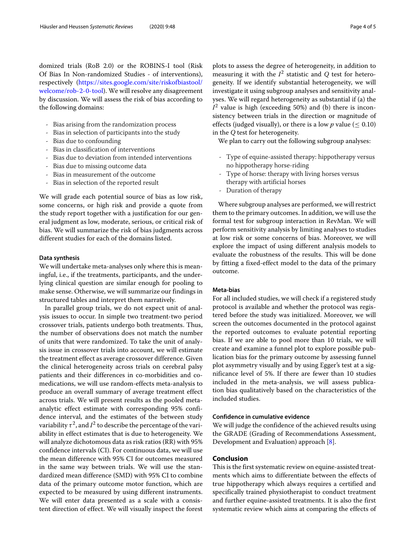domized trials (RoB 2.0) or the ROBINS-I tool (Risk Of Bias In Non-randomized Studies - of interventions), respectively [\(https://sites.google.com/site/riskofbiastool/](https://sites.google.com/site/riskofbiastool /welcome/rob-2-0-tool) [welcome/rob-2-0-tool\)](https://sites.google.com/site/riskofbiastool /welcome/rob-2-0-tool). We will resolve any disagreement by discussion. We will assess the risk of bias according to the following domains:

- Bias arising from the randomization process
- Bias in selection of participants into the study
- Bias due to confounding
- Bias in classification of interventions
- Bias due to deviation from intended interventions
- Bias due to missing outcome data
- Bias in measurement of the outcome
- Bias in selection of the reported result

We will grade each potential source of bias as low risk, some concerns, or high risk and provide a quote from the study report together with a justification for our general judgment as low, moderate, serious, or critical risk of bias. We will summarize the risk of bias judgments across different studies for each of the domains listed.

## **Data synthesis**

We will undertake meta-analyses only where this is meaningful, i.e., if the treatments, participants, and the underlying clinical question are similar enough for pooling to make sense. Otherwise, we will summarize our findings in structured tables and interpret them narratively.

In parallel group trials, we do not expect unit of analysis issues to occur. In simple two treatment-two period crossover trials, patients undergo both treatments. Thus, the number of observations does not match the number of units that were randomized. To take the unit of analysis issue in crossover trials into account, we will estimate the treatment effect as average crossover difference. Given the clinical heterogeneity across trials on cerebral palsy patients and their differences in co-morbidities and comedications, we will use random-effects meta-analysis to produce an overall summary of average treatment effect across trials. We will present results as the pooled metaanalytic effect estimate with corresponding 95% confidence interval, and the estimates of the between study variability  $\tau^2$ , and  $I^2$  to describe the percentage of the variability in effect estimates that is due to heterogeneity. We will analyze dichotomous data as risk ratios (RR) with 95% confidence intervals (CI). For continuous data, we will use the mean difference with 95% CI for outcomes measured in the same way between trials. We will use the standardized mean difference (SMD) with 95% CI to combine data of the primary outcome motor function, which are expected to be measured by using different instruments. We will enter data presented as a scale with a consistent direction of effect. We will visually inspect the forest plots to assess the degree of heterogeneity, in addition to measuring it with the  $I^2$  statistic and  $Q$  test for heterogeneity. If we identify substantial heterogeneity, we will investigate it using subgroup analyses and sensitivity analyses. We will regard heterogeneity as substantial if (a) the  $I<sup>2</sup>$  value is high (exceeding 50%) and (b) there is inconsistency between trials in the direction or magnitude of effects (judged visually), or there is a low  $p$  value ( $\leq 0.10$ ) in the *Q* test for heterogeneity.

We plan to carry out the following subgroup analyses:

- Type of equine-assisted therapy: hippotherapy versus no hippotherapy horse-riding
- Type of horse: therapy with living horses versus therapy with artificial horses
- Duration of therapy

Where subgroup analyses are performed, we will restrict them to the primary outcomes. In addition, we will use the formal test for subgroup interaction in RevMan. We will perform sensitivity analysis by limiting analyses to studies at low risk or some concerns of bias. Moreover, we will explore the impact of using different analysis models to evaluate the robustness of the results. This will be done by fitting a fixed-effect model to the data of the primary outcome.

#### **Meta-bias**

For all included studies, we will check if a registered study protocol is available and whether the protocol was registered before the study was initialized. Moreover, we will screen the outcomes documented in the protocol against the reported outcomes to evaluate potential reporting bias. If we are able to pool more than 10 trials, we will create and examine a funnel plot to explore possible publication bias for the primary outcome by assessing funnel plot asymmetry visually and by using Egger's test at a significance level of 5%. If there are fewer than 10 studies included in the meta-analysis, we will assess publication bias qualitatively based on the characteristics of the included studies.

#### **Confidence in cumulative evidence**

We will judge the confidence of the achieved results using the GRADE (Grading of Recommendations Assessment, Development and Evaluation) approach [\[8\]](#page-4-7).

# **Conclusion**

This is the first systematic review on equine-assisted treatments which aims to differentiate between the effects of true hippotherapy which always requires a certified and specifically trained physiotherapist to conduct treatment and further equine-assisted treatments. It is also the first systematic review which aims at comparing the effects of